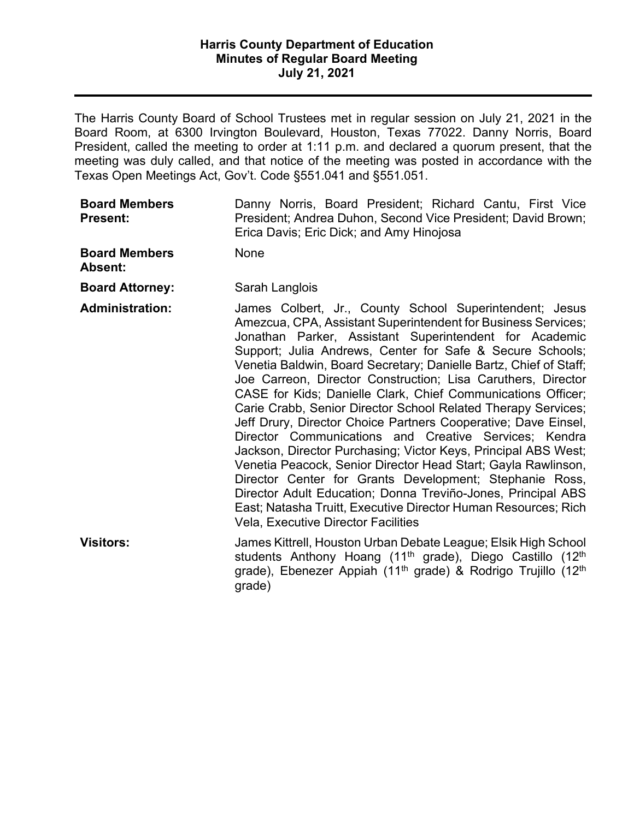President, called the meeting to order at 1:11 p.m. and declared a quorum present, that the The Harris County Board of School Trustees met in regular session on July 21, 2021 in the Board Room, at 6300 Irvington Boulevard, Houston, Texas 77022. Danny Norris, Board meeting was duly called, and that notice of the meeting was posted in accordance with the Texas Open Meetings Act, Gov't. Code §551.041 and §551.051.

| <b>Board Members</b> |                                          |  |  | Danny Norris, Board President; Richard Cantu, First Vice     |  |  |  |  |
|----------------------|------------------------------------------|--|--|--------------------------------------------------------------|--|--|--|--|
| <b>Present:</b>      |                                          |  |  | President; Andrea Duhon, Second Vice President; David Brown; |  |  |  |  |
|                      | Erica Davis; Eric Dick; and Amy Hinojosa |  |  |                                                              |  |  |  |  |

**Board Members** None **Absent:** 

### **Board Attorney:** Sarah Langlois

 **Administration:** James Colbert, Jr., County School Superintendent; Jesus Amezcua, CPA, Assistant Superintendent for Business Services; Support; Julia Andrews, Center for Safe & Secure Schools; Venetia Baldwin, Board Secretary; Danielle Bartz, Chief of Staff; Jackson, Director Purchasing; Victor Keys, Principal ABS West; Vela, Executive Director Facilities Jonathan Parker, Assistant Superintendent for Academic Joe Carreon, Director Construction; Lisa Caruthers, Director CASE for Kids; Danielle Clark, Chief Communications Officer; Carie Crabb, Senior Director School Related Therapy Services; Jeff Drury, Director Choice Partners Cooperative; Dave Einsel, Director Communications and Creative Services; Kendra Venetia Peacock, Senior Director Head Start; Gayla Rawlinson, Director Center for Grants Development; Stephanie Ross, Director Adult Education; Donna Treviño-Jones, Principal ABS East; Natasha Truitt, Executive Director Human Resources; Rich

**Visitors:** James Kittrell, Houston Urban Debate League; Elsik High School students Anthony Hoang (11<sup>th</sup> grade), Diego Castillo (12<sup>th</sup> grade), Ebenezer Appiah (11<sup>th</sup> grade) & Rodrigo Trujillo (12<sup>th</sup> grade)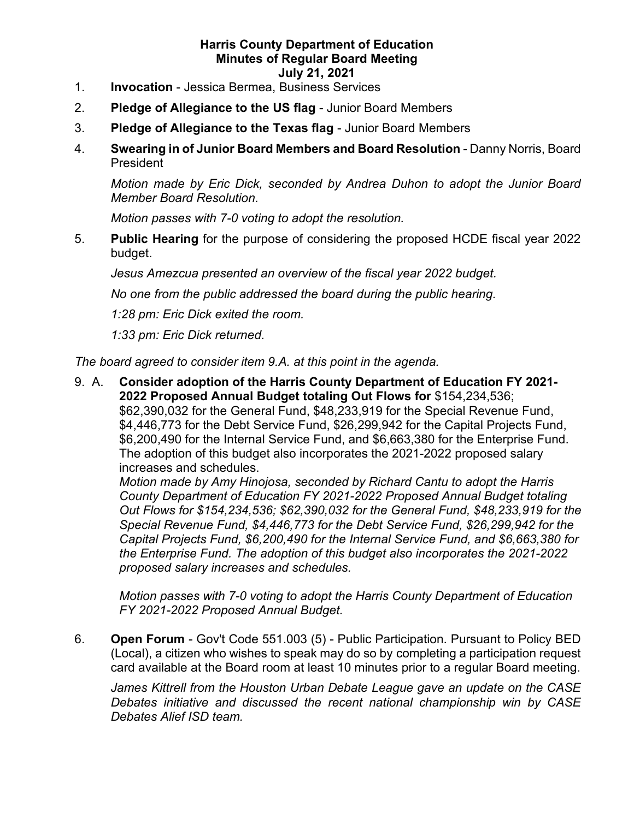- 1. **Invocation**  Jessica Bermea, Business Services
- 2. **Pledge of Allegiance to the US flag**  Junior Board Members
- 3. **Pledge of Allegiance to the Texas flag**  Junior Board Members
- President 4. **Swearing in of Junior Board Members and Board Resolution** - Danny Norris, Board

 *Motion made by Eric Dick, seconded by Andrea Duhon to adopt the Junior Board Member Board Resolution.* 

*Motion passes with 7-0 voting to adopt the resolution.* 

5. **Public Hearing** for the purpose of considering the proposed HCDE fiscal year 2022 budget.

*Jesus Amezcua presented an overview of the fiscal year 2022 budget.* 

*No one from the public addressed the board during the public hearing.* 

*1:28 pm: Eric Dick exited the room.* 

*1:33 pm: Eric Dick returned.* 

*The board agreed to consider item 9.A. at this point in the agenda.* 

9. A. **Consider adoption of the Harris County Department of Education FY 2021- 2022 Proposed Annual Budget totaling Out Flows for** \$154,234,536; \$62,390,032 for the General Fund, \$48,233,919 for the Special Revenue Fund, \$4,446,773 for the Debt Service Fund, \$26,299,942 for the Capital Projects Fund, \$6,200,490 for the Internal Service Fund, and \$6,663,380 for the Enterprise Fund. The adoption of this budget also incorporates the 2021-2022 proposed salary increases and schedules.

*Motion made by Amy Hinojosa, seconded by Richard Cantu to adopt the Harris County Department of Education FY 2021-2022 Proposed Annual Budget totaling Out Flows for \$154,234,536; \$62,390,032 for the General Fund, \$48,233,919 for the Special Revenue Fund, \$4,446,773 for the Debt Service Fund, \$26,299,942 for the Capital Projects Fund, \$6,200,490 for the Internal Service Fund, and \$6,663,380 for the Enterprise Fund. The adoption of this budget also incorporates the 2021-2022 proposed salary increases and schedules.* 

 *Motion passes with 7-0 voting to adopt the Harris County Department of Education FY 2021-2022 Proposed Annual Budget.* 

 (Local), a citizen who wishes to speak may do so by completing a participation request 6. **Open Forum** - Gov't Code 551.003 (5) - Public Participation. Pursuant to Policy BED card available at the Board room at least 10 minutes prior to a regular Board meeting.

 *James Kittrell from the Houston Urban Debate League gave an update on the CASE Debates initiative and discussed the recent national championship win by CASE Debates Alief ISD team.*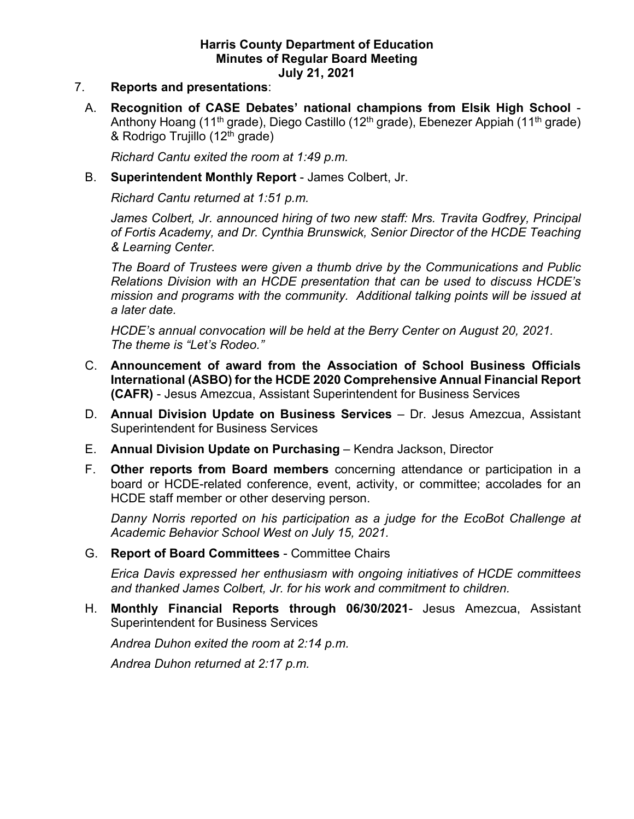#### 7. **Reports and presentations**:

Anthony Hoang (11<sup>th</sup> grade), Diego Castillo (12<sup>th</sup> grade), Ebenezer Appiah (11<sup>th</sup> grade) & Rodrigo Trujillo (12<sup>th</sup> grade) A. **Recognition of CASE Debates' national champions from Elsik High School** -

 *Richard Cantu exited the room at 1:49 p.m.* 

B. **Superintendent Monthly Report** - James Colbert, Jr.

 *Richard Cantu returned at 1:51 p.m.* 

*James Colbert, Jr. announced hiring of two new staff: Mrs. Travita Godfrey, Principal of Fortis Academy, and Dr. Cynthia Brunswick, Senior Director of the HCDE Teaching & Learning Center.* 

 *Relations Division with an HCDE presentation that can be used to discuss HCDE's mission and programs with the community. Additional talking points will be issued at The Board of Trustees were given a thumb drive by the Communications and Public a later date.* 

 *HCDE's annual convocation will be held at the Berry Center on August 20, 2021. The theme is "Let's Rodeo."* 

- C. **Announcement of award from the Association of School Business Officials International (ASBO) for the HCDE 2020 Comprehensive Annual Financial Report (CAFR)** - Jesus Amezcua, Assistant Superintendent for Business Services
- D. **Annual Division Update on Business Services**  Dr. Jesus Amezcua, Assistant Superintendent for Business Services
- E. **Annual Division Update on Purchasing**  Kendra Jackson, Director
- F. **Other reports from Board members** concerning attendance or participation in a board or HCDE-related conference, event, activity, or committee; accolades for an HCDE staff member or other deserving person.

 *Academic Behavior School West on July 15, 2021. Danny Norris reported on his participation as a judge for the EcoBot Challenge at* 

G. **Report of Board Committees** - Committee Chairs

 *and thanked James Colbert, Jr. for his work and commitment to children. Erica Davis expressed her enthusiasm with ongoing initiatives of HCDE committees* 

H. **Monthly Financial Reports through 06/30/2021**- Jesus Amezcua, Assistant Superintendent for Business Services

 *Andrea Duhon exited the room at 2:14 p.m. Andrea Duhon returned at 2:17 p.m.* 

Andrea Duhon returned at 2:17 p.m.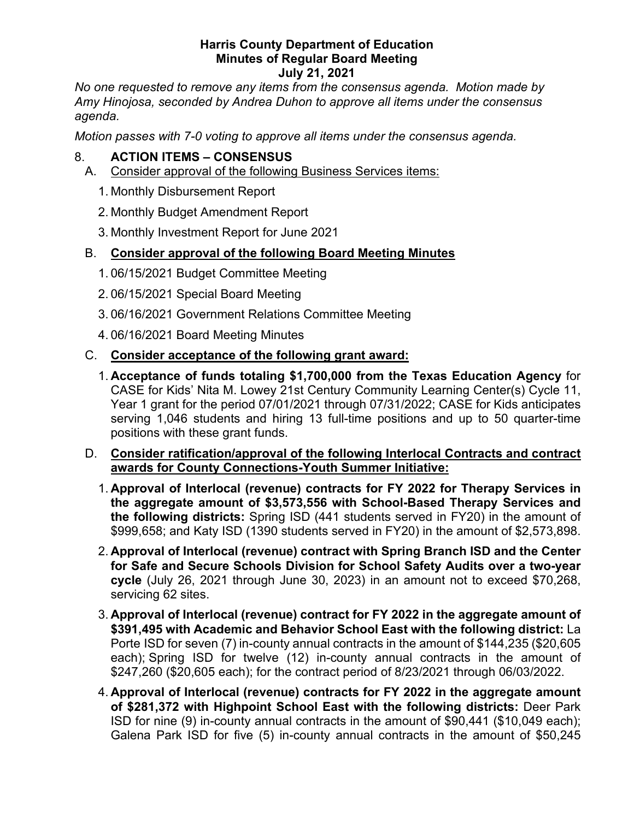*No one requested to remove any items from the consensus agenda. Motion made by Amy Hinojosa, seconded by Andrea Duhon to approve all items under the consensus*  agenda.

*Motion passes with 7-0 voting to approve all items under the consensus agenda.* 

## 8. **ACTION ITEMS – CONSENSUS**

- A. Consider approval of the following Business Services items:
	- 1. Monthly Disbursement Report
	- 2. Monthly Budget Amendment Report
	- 3. Monthly Investment Report for June 2021

## B. **Consider approval of the following Board Meeting Minutes**

- 1. 06/15/2021 Budget Committee Meeting
- 2. 06/15/2021 Special Board Meeting
- 3. 06/16/2021 Government Relations Committee Meeting
- 4. 06/16/2021 Board Meeting Minutes

## C. **Consider acceptance of the following grant award:**

- 1. **Acceptance of funds totaling \$1,700,000 from the Texas Education Agency** for CASE for Kids' Nita M. Lowey 21st Century Community Learning Center(s) Cycle 11, Year 1 grant for the period 07/01/2021 through 07/31/2022; CASE for Kids anticipates serving 1,046 students and hiring 13 full-time positions and up to 50 quarter-time positions with these grant funds.
- D. **Consider ratification/approval of the following Interlocal Contracts and contract awards for County Connections-Youth Summer Initiative:** 
	- \$999,658; and Katy ISD (1390 students served in FY20) in the amount of \$2,573,898. 1. **Approval of Interlocal (revenue) contracts for FY 2022 for Therapy Services in the aggregate amount of \$3,573,556 with School-Based Therapy Services and the following districts:** Spring ISD (441 students served in FY20) in the amount of
	- 2. **Approval of Interlocal (revenue) contract with Spring Branch ISD and the Center for Safe and Secure Schools Division for School Safety Audits over a two-year cycle** (July 26, 2021 through June 30, 2023) in an amount not to exceed \$70,268, servicing 62 sites.
	- Porte ISD for seven (7) in-county annual contracts in the amount of \$144,235 (\$20,605 3. **Approval of Interlocal (revenue) contract for FY 2022 in the aggregate amount of \$391,495 with Academic and Behavior School East with the following district:** La each); Spring ISD for twelve (12) in-county annual contracts in the amount of \$247,260 (\$20,605 each); for the contract period of 8/23/2021 through 06/03/2022.
	- 4. **Approval of Interlocal (revenue) contracts for FY 2022 in the aggregate amount of \$281,372 with Highpoint School East with the following districts:** Deer Park ISD for nine (9) in-county annual contracts in the amount of \$90,441 (\$10,049 each); Galena Park ISD for five (5) in-county annual contracts in the amount of \$50,245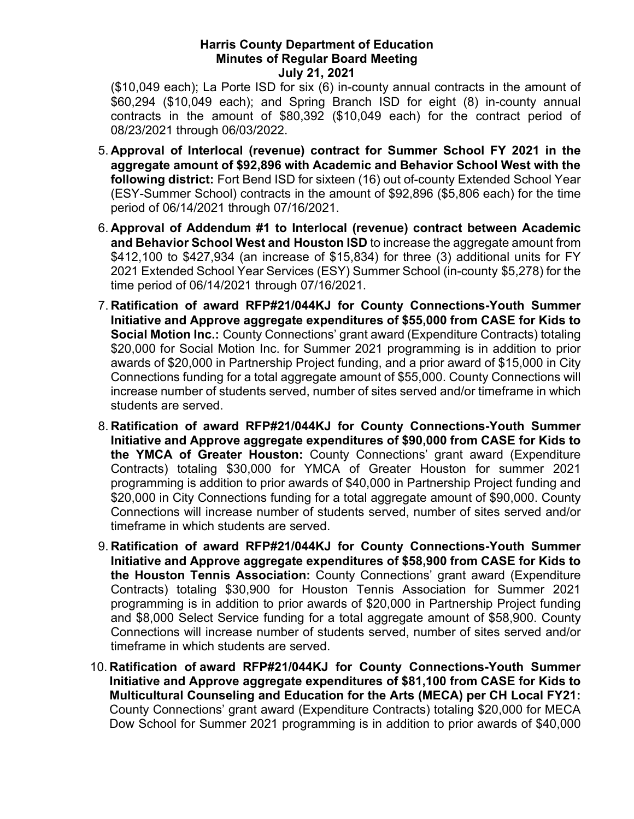\$60,294 (\$10,049 each); and Spring Branch ISD for eight (8) in-county annual (\$10,049 each); La Porte ISD for six (6) in-county annual contracts in the amount of contracts in the amount of \$80,392 (\$10,049 each) for the contract period of 08/23/2021 through 06/03/2022.

- 5. **Approval of Interlocal (revenue) contract for Summer School FY 2021 in the**  (ESY-Summer School) contracts in the amount of \$92,896 (\$5,806 each) for the time **aggregate amount of \$92,896 with Academic and Behavior School West with the following district:** Fort Bend ISD for sixteen (16) out of-county Extended School Year period of 06/14/2021 through 07/16/2021.
- \$412,100 to \$427,934 (an increase of \$15,834) for three (3) additional units for FY 6. **Approval of Addendum #1 to Interlocal (revenue) contract between Academic and Behavior School West and Houston ISD** to increase the aggregate amount from 2021 Extended School Year Services (ESY) Summer School (in-county \$5,278) for the time period of 06/14/2021 through 07/16/2021.
- awards of \$20,000 in Partnership Project funding, and a prior award of \$15,000 in City Connections funding for a total aggregate amount of \$55,000. County Connections will 7. **Ratification of award RFP#21/044KJ for County Connections-Youth Summer Initiative and Approve aggregate expenditures of \$55,000 from CASE for Kids to Social Motion Inc.:** County Connections' grant award (Expenditure Contracts) totaling \$20,000 for Social Motion Inc. for Summer 2021 programming is in addition to prior increase number of students served, number of sites served and/or timeframe in which students are served.
- 8. **Ratification of award RFP#21/044KJ for County Connections-Youth Summer Initiative and Approve aggregate expenditures of \$90,000 from CASE for Kids to the YMCA of Greater Houston:** County Connections' grant award (Expenditure Contracts) totaling \$30,000 for YMCA of Greater Houston for summer 2021 programming is addition to prior awards of \$40,000 in Partnership Project funding and \$20,000 in City Connections funding for a total aggregate amount of \$90,000. County Connections will increase number of students served, number of sites served and/or timeframe in which students are served.
- 9. **Ratification of award RFP#21/044KJ for County Connections-Youth Summer Initiative and Approve aggregate expenditures of \$58,900 from CASE for Kids to the Houston Tennis Association:** County Connections' grant award (Expenditure Contracts) totaling \$30,900 for Houston Tennis Association for Summer 2021 programming is in addition to prior awards of \$20,000 in Partnership Project funding and \$8,000 Select Service funding for a total aggregate amount of \$58,900. County Connections will increase number of students served, number of sites served and/or timeframe in which students are served.
- 10. **Ratification of award RFP#21/044KJ for County Connections-Youth Summer Initiative and Approve aggregate expenditures of \$81,100 from CASE for Kids to Multicultural Counseling and Education for the Arts (MECA) per CH Local FY21:**  County Connections' grant award (Expenditure Contracts) totaling \$20,000 for MECA Dow School for Summer 2021 programming is in addition to prior awards of \$40,000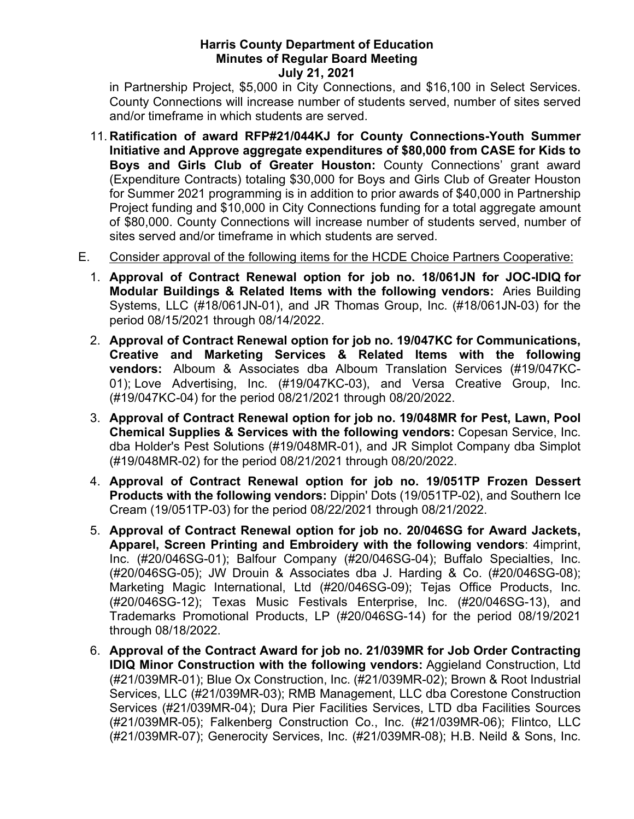in Partnership Project, \$5,000 in City Connections, and \$16,100 in Select Services. County Connections will increase number of students served, number of sites served and/or timeframe in which students are served.

- (Expenditure Contracts) totaling \$30,000 for Boys and Girls Club of Greater Houston for Summer 2021 programming is in addition to prior awards of \$40,000 in Partnership 11. **Ratification of award RFP#21/044KJ for County Connections-Youth Summer Initiative and Approve aggregate expenditures of \$80,000 from CASE for Kids to Boys and Girls Club of Greater Houston:** County Connections' grant award Project funding and \$10,000 in City Connections funding for a total aggregate amount of \$80,000. County Connections will increase number of students served, number of sites served and/or timeframe in which students are served.
- E. Consider approval of the following items for the HCDE Choice Partners Cooperative:
	- **Modular Buildings & Related Items with the following vendors:** Aries Building 1. **Approval of Contract Renewal option for job no. 18/061JN for JOC-IDIQ for**  Systems, LLC (#18/061JN-01), and JR Thomas Group, Inc. (#18/061JN-03) for the period 08/15/2021 through 08/14/2022.
	- **vendors:** Alboum & Associates dba Alboum Translation Services (#19/047KC-2. **Approval of Contract Renewal option for job no. 19/047KC for Communications, Creative and Marketing Services & Related Items with the following**  01); Love Advertising, Inc. (#19/047KC-03), and Versa Creative Group, Inc. (#19/047KC-04) for the period 08/21/2021 through 08/20/2022.
	- 3. **Approval of Contract Renewal option for job no. 19/048MR for Pest, Lawn, Pool Chemical Supplies & Services with the following vendors:** Copesan Service, Inc. dba Holder's Pest Solutions (#19/048MR-01), and JR Simplot Company dba Simplot (#19/048MR-02) for the period 08/21/2021 through 08/20/2022.
	- 4. **Approval of Contract Renewal option for job no. 19/051TP Frozen Dessert Products with the following vendors:** Dippin' Dots (19/051TP-02), and Southern Ice Cream (19/051TP-03) for the period 08/22/2021 through 08/21/2022.
	- (#20/046SG-05); JW Drouin & Associates dba J. Harding & Co. (#20/046SG-08); 5. **Approval of Contract Renewal option for job no. 20/046SG for Award Jackets, Apparel, Screen Printing and Embroidery with the following vendors**: 4imprint, Inc. (#20/046SG-01); Balfour Company (#20/046SG-04); Buffalo Specialties, Inc. Marketing Magic International, Ltd (#20/046SG-09); Tejas Office Products, Inc. (#20/046SG-12); Texas Music Festivals Enterprise, Inc. (#20/046SG-13), and Trademarks Promotional Products, LP (#20/046SG-14) for the period 08/19/2021 through 08/18/2022.
	- Services (#21/039MR-04); Dura Pier Facilities Services, LTD dba Facilities Sources 6. **Approval of the Contract Award for job no. 21/039MR for Job Order Contracting IDIQ Minor Construction with the following vendors:** Aggieland Construction, Ltd (#21/039MR-01); Blue Ox Construction, Inc. (#21/039MR-02); Brown & Root Industrial Services, LLC (#21/039MR-03); RMB Management, LLC dba Corestone Construction (#21/039MR-05); Falkenberg Construction Co., Inc. (#21/039MR-06); Flintco, LLC (#21/039MR-07); Generocity Services, Inc. (#21/039MR-08); H.B. Neild & Sons, Inc.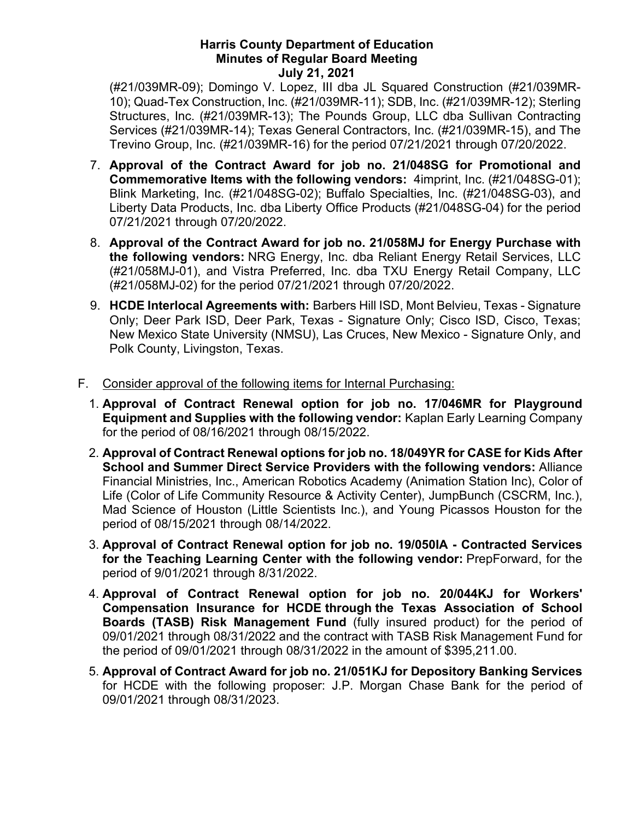Trevino Group, Inc. (#21/039MR-16) for the period 07/21/2021 through 07/20/2022. (#21/039MR-09); Domingo V. Lopez, III dba JL Squared Construction (#21/039MR-10); Quad-Tex Construction, Inc. (#21/039MR-11); SDB, Inc. (#21/039MR-12); Sterling Structures, Inc. (#21/039MR-13); The Pounds Group, LLC dba Sullivan Contracting Services (#21/039MR-14); Texas General Contractors, Inc. (#21/039MR-15), and The

- **Commemorative Items with the following vendors:** 4imprint, Inc. (#21/048SG-01); 7. **Approval of the Contract Award for job no. 21/048SG for Promotional and**  Blink Marketing, Inc. (#21/048SG-02); Buffalo Specialties, Inc. (#21/048SG-03), and Liberty Data Products, Inc. dba Liberty Office Products (#21/048SG-04) for the period 07/21/2021 through 07/20/2022.
- (#21/058MJ-01), and Vistra Preferred, Inc. dba TXU Energy Retail Company, LLC 8. **Approval of the Contract Award for job no. 21/058MJ for Energy Purchase with the following vendors:** NRG Energy, Inc. dba Reliant Energy Retail Services, LLC (#21/058MJ-02) for the period 07/21/2021 through 07/20/2022.
- 9. **HCDE Interlocal Agreements with:** Barbers Hill ISD, Mont Belvieu, Texas Signature Only; Deer Park ISD, Deer Park, Texas - Signature Only; Cisco ISD, Cisco, Texas; New Mexico State University (NMSU), Las Cruces, New Mexico - Signature Only, and Polk County, Livingston, Texas.
- F. Consider approval of the following items for Internal Purchasing:
	- 1. **Approval of Contract Renewal option for job no. 17/046MR for Playground Equipment and Supplies with the following vendor:** Kaplan Early Learning Company for the period of 08/16/2021 through 08/15/2022.
	- 2. **Approval of Contract Renewal options for job no. 18/049YR for CASE for Kids After School and Summer Direct Service Providers with the following vendors:** Alliance Financial Ministries, Inc., American Robotics Academy (Animation Station Inc), Color of Life (Color of Life Community Resource & Activity Center), JumpBunch (CSCRM, Inc.), Mad Science of Houston (Little Scientists Inc.), and Young Picassos Houston for the period of 08/15/2021 through 08/14/2022.
	- 3. **Approval of Contract Renewal option for job no. 19/050IA - Contracted Services for the Teaching Learning Center with the following vendor:** PrepForward, for the period of 9/01/2021 through 8/31/2022.
	- **Compensation Insurance for HCDE through the Texas Association of School**  4. **Approval of Contract Renewal option for job no. 20/044KJ for Workers' Boards (TASB) Risk Management Fund** (fully insured product) for the period of 09/01/2021 through 08/31/2022 and the contract with TASB Risk Management Fund for the period of 09/01/2021 through 08/31/2022 in the amount of [\\$395,211.00](https://395,211.00).
	- 5. **Approval of Contract Award for job no. 21/051KJ for Depository Banking Services**  for HCDE with the following proposer: J.P. Morgan Chase Bank for the period of 09/01/2021 through 08/31/2023.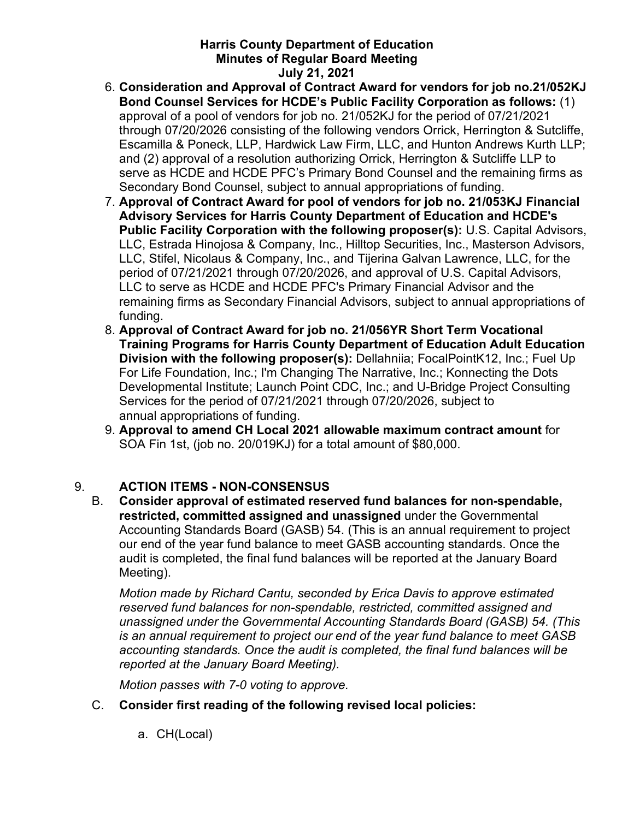- **Bond Counsel Services for HCDE's Public Facility Corporation as follows:** (1) approval of a pool of vendors for job no. 21/052KJ for the period of 07/21/2021 through 07/20/2026 consisting of the following vendors Orrick, Herrington & Sutcliffe, 6. **Consideration and Approval of Contract Award for vendors for job no.21/052KJ**  Escamilla & Poneck, LLP, Hardwick Law Firm, LLC, and Hunton Andrews Kurth LLP; and (2) approval of a resolution authorizing Orrick, Herrington & Sutcliffe LLP to serve as HCDE and HCDE PFC's Primary Bond Counsel and the remaining firms as Secondary Bond Counsel, subject to annual appropriations of funding.
- LLC, Stifel, Nicolaus & Company, Inc., and Tijerina Galvan Lawrence, LLC, for the remaining firms as Secondary Financial Advisors, subject to annual appropriations of 7. **Approval of Contract Award for pool of vendors for job no. 21/053KJ Financial Advisory Services for Harris County Department of Education and HCDE's Public Facility Corporation with the following proposer(s):** U.S. Capital Advisors, LLC, Estrada Hinojosa & Company, Inc., Hilltop Securities, Inc., Masterson Advisors, period of 07/21/2021 through 07/20/2026, and approval of U.S. Capital Advisors, LLC to serve as HCDE and HCDE PFC's Primary Financial Advisor and the funding.
- **Division with the following proposer(s):** Dellahniia; FocalPointK12, Inc.; Fuel Up 8. **Approval of Contract Award for job no. 21/056YR Short Term Vocational Training Programs for Harris County Department of Education Adult Education**  For Life Foundation, Inc.; I'm Changing The Narrative, Inc.; Konnecting the Dots Developmental Institute; Launch Point CDC, Inc.; and U-Bridge Project Consulting Services for the period of 07/21/2021 through 07/20/2026, subject to annual appropriations of funding.
- SOA Fin 1st, (job no. 20/019KJ) for a total amount of \$80,000. 9. **Approval to amend CH Local 2021 allowable maximum contract amount** for

# 9. **ACTION ITEMS - NON-CONSENSUS**

B. **Consider approval of estimated reserved fund balances for non-spendable, restricted, committed assigned and unassigned** under the Governmental Accounting Standards Board (GASB) 54. (This is an annual requirement to project our end of the year fund balance to meet GASB accounting standards. Once the audit is completed, the final fund balances will be reported at the January Board Meeting).

 *Motion made by Richard Cantu, seconded by Erica Davis to approve estimated reserved fund balances for non-spendable, restricted, committed assigned and unassigned under the Governmental Accounting Standards Board (GASB) 54. (This is an annual requirement to project our end of the year fund balance to meet GASB accounting standards. Once the audit is completed, the final fund balances will be reported at the January Board Meeting).* 

 *Motion passes with 7-0 voting to approve.* 

- C. **Consider first reading of the following revised local policies:** 
	- a. CH(Local)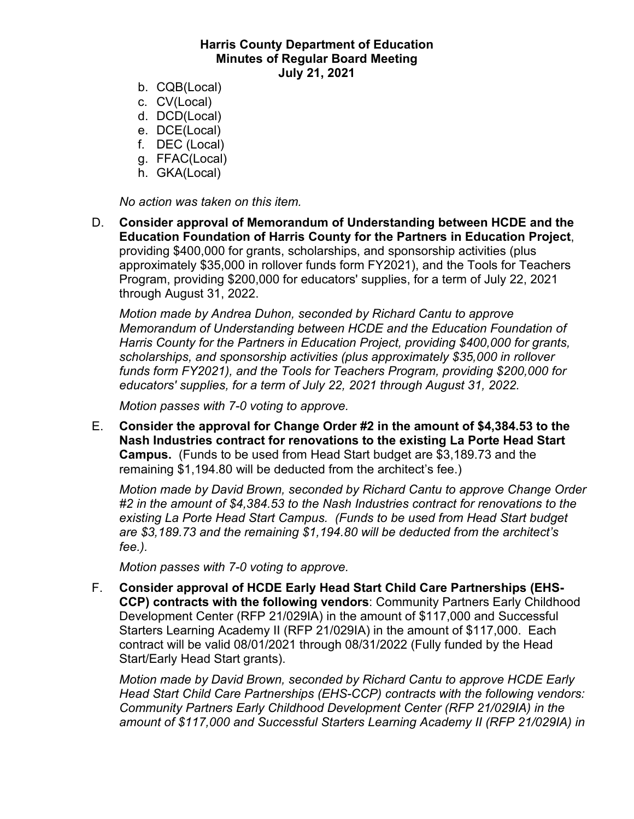- b. CQB(Local)
- c. CV(Local)
- d. DCD(Local)
- e. DCE(Local)
- f. DEC (Local)
- g. FFAC(Local)
- h. GKA(Local)

*No action was taken on this item.* 

D. **Consider approval of Memorandum of Understanding between HCDE and the Education Foundation of Harris County for the Partners in Education Project**, providing \$400,000 for grants, scholarships, and sponsorship activities (plus approximately \$35,000 in rollover funds form FY2021), and the Tools for Teachers Program, providing \$200,000 for educators' supplies, for a term of July 22, 2021 through August 31, 2022.

*Motion made by Andrea Duhon, seconded by Richard Cantu to approve Memorandum of Understanding between HCDE and the Education Foundation of Harris County for the Partners in Education Project, providing \$400,000 for grants, scholarships, and sponsorship activities (plus approximately \$35,000 in rollover funds form FY2021), and the Tools for Teachers Program, providing \$200,000 for educators' supplies, for a term of July 22, 2021 through August 31, 2022.* 

*Motion passes with 7-0 voting to approve.* 

 **Nash Industries contract for renovations to the existing La Porte Head Start Campus.** (Funds to be used from Head Start budget are [\\$3,189.73](https://3,189.73) and the E. **Consider the approval for Change Order #2 in the amount of \$[4,384.53](https://4,384.53) to the**  remaining [\\$1,194.80](https://1,194.80) will be deducted from the architect's fee.)

 *existing La Porte Head Start Campus. (Funds to be used from Head Start budget Motion made by David Brown, seconded by Richard Cantu to approve Change Order #2 in the amount of [\\$4,384.53](https://4,384.53) to the Nash Industries contract for renovations to the are \$[3,189.73](https://3,189.73) and the remaining \$[1,194.80](https://1,194.80) will be deducted from the architect's fee.).* 

*Motion passes with 7-0 voting to approve.* 

 Development Center (RFP 21/029IA) in the amount of \$117,000 and Successful Starters Learning Academy II (RFP 21/029IA) in the amount of \$117,000. Each contract will be valid 08/01/2021 through 08/31/2022 (Fully funded by the Head F. **Consider approval of HCDE Early Head Start Child Care Partnerships (EHS-CCP) contracts with the following vendors**: Community Partners Early Childhood Start/Early Head Start grants).

 *Motion made by David Brown, seconded by Richard Cantu to approve HCDE Early Head Start Child Care Partnerships (EHS-CCP) contracts with the following vendors: Community Partners Early Childhood Development Center (RFP 21/029IA) in the amount of \$117,000 and Successful Starters Learning Academy II (RFP 21/029IA) in*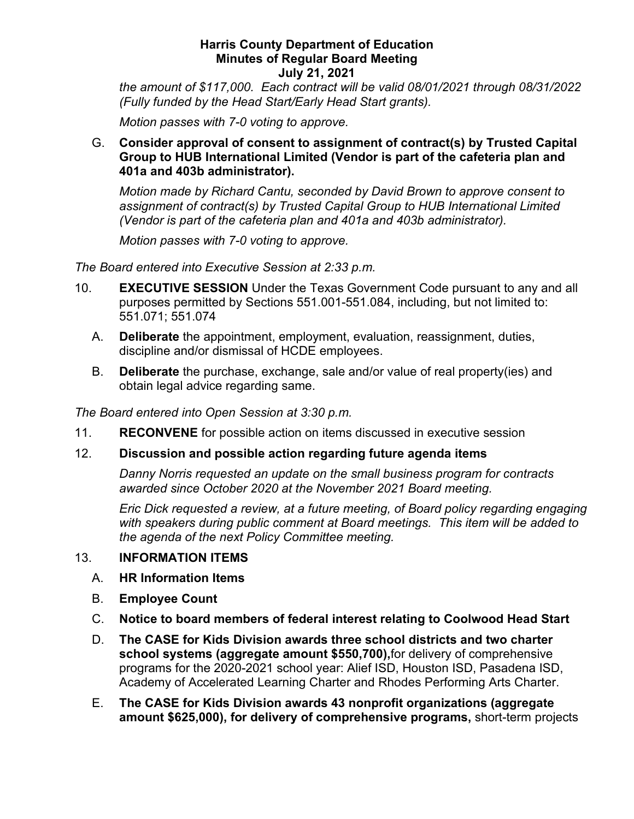*(Fully funded by the Head Start/Early Head Start grants). Motion passes with 7-0 voting to approve. the amount of \$117,000. Each contract will be valid 08/01/2021 through 08/31/2022* 

G. **Consider approval of consent to assignment of contract(s) by Trusted Capital Group to HUB International Limited (Vendor is part of the cafeteria plan and 401a and 403b administrator).** 

 *Motion made by Richard Cantu, seconded by David Brown to approve consent to assignment of contract(s) by Trusted Capital Group to HUB International Limited (Vendor is part of the cafeteria plan and 401a and 403b administrator).* 

*Motion passes with 7-0 voting to approve.* 

*The Board entered into Executive Session at 2:33 p.m.* 

- 10. **EXECUTIVE SESSION** Under the Texas Government Code pursuant to any and all purposes permitted by Sections 551.001-551.084, including, but not limited to: 551.071; 551.074
	- A. **Deliberate** the appointment, employment, evaluation, reassignment, duties, discipline and/or dismissal of HCDE employees.
	- B. **Deliberate** the purchase, exchange, sale and/or value of real property(ies) and obtain legal advice regarding same.

*The Board entered into Open Session at 3:30 p.m.* 

- 11. **RECONVENE** for possible action on items discussed in executive session
- 12. **Discussion and possible action regarding future agenda items**

*Danny Norris requested an update on the small business program for contracts awarded since October 2020 at the November 2021 Board meeting.* 

 *with speakers during public comment at Board meetings. This item will be added to the agenda of the next Policy Committee meeting. Eric Dick requested a review, at a future meeting, of Board policy regarding engaging* 

## 13. **INFORMATION ITEMS**

- A. **HR Information Items**
- B. **Employee Count**
- C. **Notice to board members of federal interest relating to Coolwood Head Start**
- D. **The CASE for Kids Division awards three school districts and two charter school systems (aggregate amount \$550,700),**for delivery of comprehensive programs for the 2020-2021 school year: Alief ISD, Houston ISD, Pasadena ISD, Academy of Accelerated Learning Charter and Rhodes Performing Arts Charter.
- E. **The CASE for Kids Division awards 43 nonprofit organizations (aggregate amount \$625,000), for delivery of comprehensive programs,** short-term projects